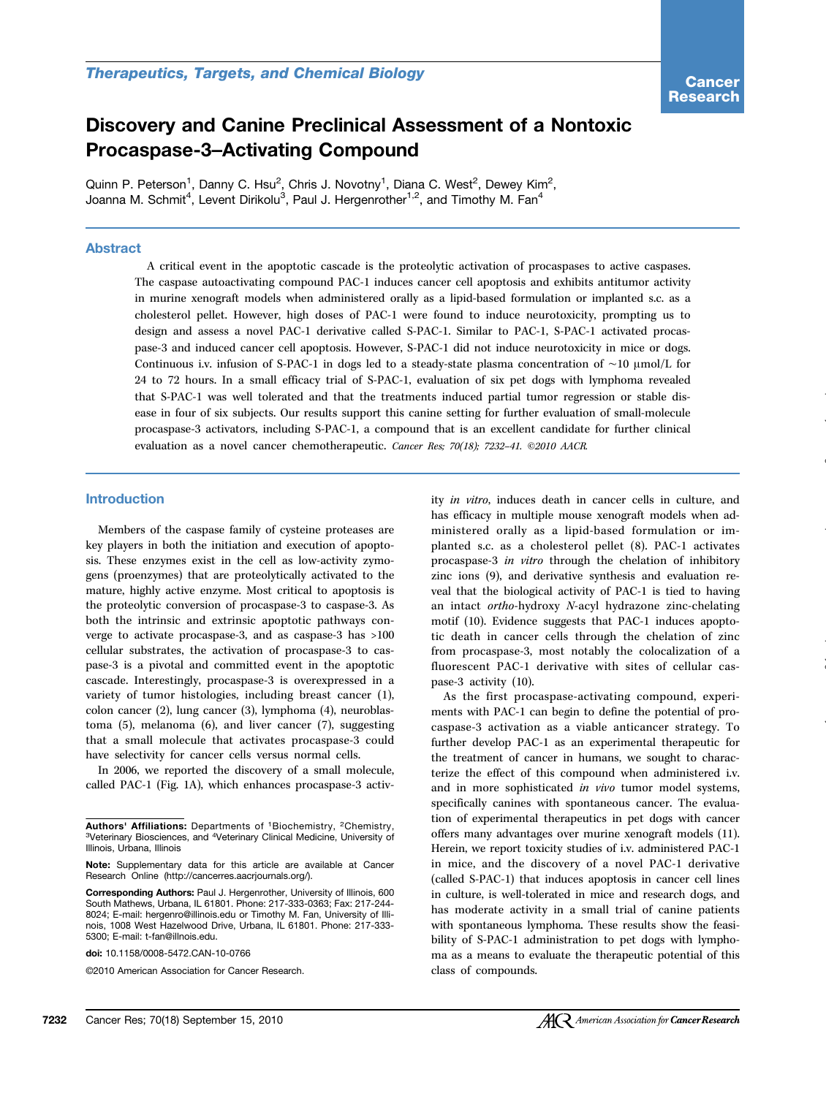# Discovery and Canine Preclinical Assessment of a Nontoxic Procaspase-3–Activating Compound

Quinn P. Peterson<sup>1</sup>, Danny C. Hsu<sup>2</sup>, Chris J. Novotny<sup>1</sup>, Diana C. West<sup>2</sup>, Dewey Kim<sup>2</sup>, Joanna M. Schmit<sup>4</sup>, Levent Dirikolu<sup>3</sup>, Paul J. Hergenrother<sup>1,2</sup>, and Timothy M. Fan<sup>4</sup>

# Abstract

A critical event in the apoptotic cascade is the proteolytic activation of procaspases to active caspases. The caspase autoactivating compound PAC-1 induces cancer cell apoptosis and exhibits antitumor activity in murine xenograft models when administered orally as a lipid-based formulation or implanted s.c. as a cholesterol pellet. However, high doses of PAC-1 were found to induce neurotoxicity, prompting us to design and assess a novel PAC-1 derivative called S-PAC-1. Similar to PAC-1, S-PAC-1 activated procaspase-3 and induced cancer cell apoptosis. However, S-PAC-1 did not induce neurotoxicity in mice or dogs. Continuous i.v. infusion of S-PAC-1 in dogs led to a steady-state plasma concentration of ∼10 μmol/L for 24 to 72 hours. In a small efficacy trial of S-PAC-1, evaluation of six pet dogs with lymphoma revealed that S-PAC-1 was well tolerated and that the treatments induced partial tumor regression or stable disease in four of six subjects. Our results support this canine setting for further evaluation of small-molecule procaspase-3 activators, including S-PAC-1, a compound that is an excellent candidate for further clinical evaluation as a novel cancer chemotherapeutic. Cancer Res; 70(18); 7232–41. ©2010 AACR.

#### Introduction

Members of the caspase family of cysteine proteases are key players in both the initiation and execution of apoptosis. These enzymes exist in the cell as low-activity zymogens (proenzymes) that are proteolytically activated to the mature, highly active enzyme. Most critical to apoptosis is the proteolytic conversion of procaspase-3 to caspase-3. As both the intrinsic and extrinsic apoptotic pathways converge to activate procaspase-3, and as caspase-3 has >100 cellular substrates, the activation of procaspase-3 to caspase-3 is a pivotal and committed event in the apoptotic cascade. Interestingly, procaspase-3 is overexpressed in a variety of tumor histologies, including breast cancer (1), colon cancer (2), lung cancer (3), lymphoma (4), neuroblastoma (5), melanoma (6), and liver cancer (7), suggesting that a small molecule that activates procaspase-3 could have selectivity for cancer cells versus normal cells.

In 2006, we reported the discovery of a small molecule, called PAC-1 (Fig. 1A), which enhances procaspase-3 activ-

doi: 10.1158/0008-5472.CAN-10-0766

©2010 American Association for Cancer Research.

ity in vitro, induces death in cancer cells in culture, and has efficacy in multiple mouse xenograft models when administered orally as a lipid-based formulation or implanted s.c. as a cholesterol pellet (8). PAC-1 activates procaspase-3 in vitro through the chelation of inhibitory zinc ions (9), and derivative synthesis and evaluation reveal that the biological activity of PAC-1 is tied to having an intact ortho-hydroxy N-acyl hydrazone zinc-chelating motif (10). Evidence suggests that PAC-1 induces apoptotic death in cancer cells through the chelation of zinc from procaspase-3, most notably the colocalization of a fluorescent PAC-1 derivative with sites of cellular caspase-3 activity (10).

As the first procaspase-activating compound, experiments with PAC-1 can begin to define the potential of procaspase-3 activation as a viable anticancer strategy. To further develop PAC-1 as an experimental therapeutic for the treatment of cancer in humans, we sought to characterize the effect of this compound when administered i.v. and in more sophisticated in vivo tumor model systems, specifically canines with spontaneous cancer. The evaluation of experimental therapeutics in pet dogs with cancer offers many advantages over murine xenograft models (11). Herein, we report toxicity studies of i.v. administered PAC-1 in mice, and the discovery of a novel PAC-1 derivative (called S-PAC-1) that induces apoptosis in cancer cell lines in culture, is well-tolerated in mice and research dogs, and has moderate activity in a small trial of canine patients with spontaneous lymphoma. These results show the feasibility of S-PAC-1 administration to pet dogs with lymphoma as a means to evaluate the therapeutic potential of this class of compounds.

Authors' Affiliations: Departments of <sup>1</sup>Biochemistry, <sup>2</sup>Chemistry, 3Veterinary Biosciences, and 4Veterinary Clinical Medicine, University of Illinois, Urbana, Illinois

Note: Supplementary data for this article are available at Cancer Research Online (http://cancerres.aacriournals.org/).

Corresponding Authors: Paul J. Hergenrother, University of Illinois, 600 South Mathews, Urbana, IL 61801. Phone: 217-333-0363; Fax: 217-244- 8024; E-mail: hergenro@illinois.edu or Timothy M. Fan, University of Illinois, 1008 West Hazelwood Drive, Urbana, IL 61801. Phone: 217-333- 5300; E-mail: t-fan@illnois.edu.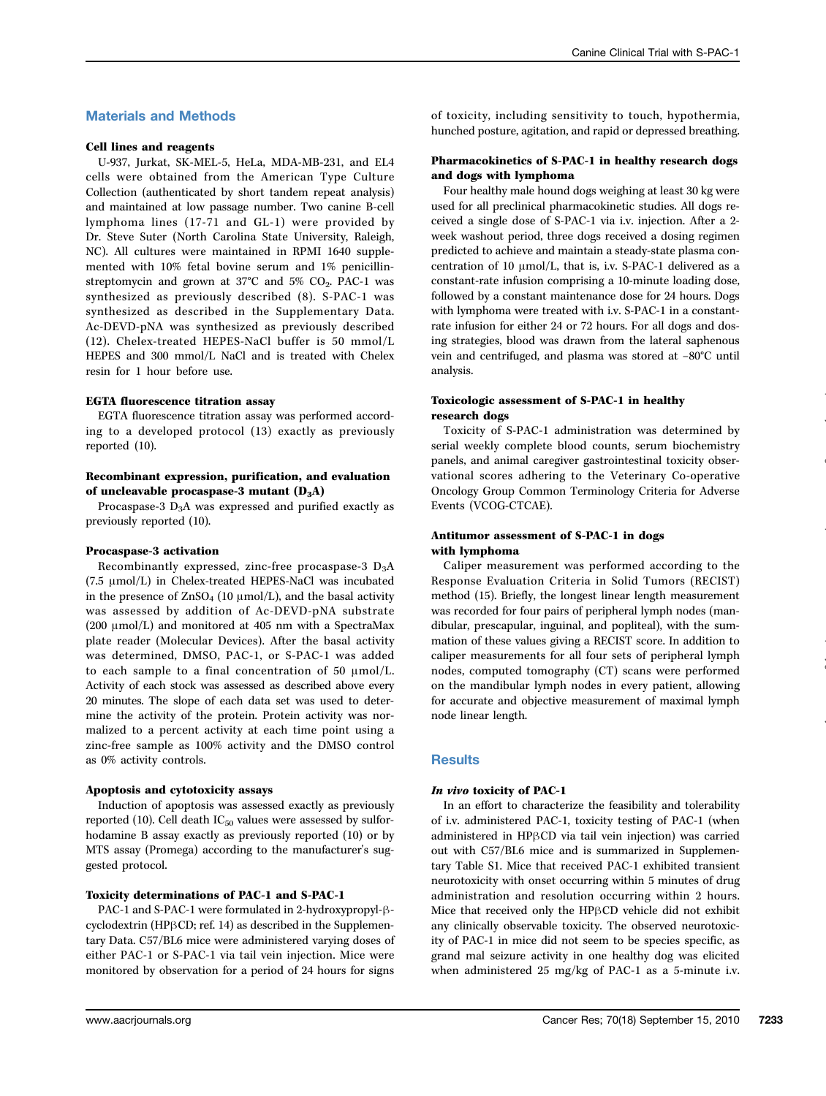# Materials and Methods

## Cell lines and reagents

U-937, Jurkat, SK-MEL-5, HeLa, MDA-MB-231, and EL4 cells were obtained from the American Type Culture Collection (authenticated by short tandem repeat analysis) and maintained at low passage number. Two canine B-cell lymphoma lines (17-71 and GL-1) were provided by Dr. Steve Suter (North Carolina State University, Raleigh, NC). All cultures were maintained in RPMI 1640 supplemented with 10% fetal bovine serum and 1% penicillinstreptomycin and grown at  $37^{\circ}$ C and  $5\%$  CO<sub>2</sub>. PAC-1 was synthesized as previously described (8). S-PAC-1 was synthesized as described in the Supplementary Data. Ac-DEVD-pNA was synthesized as previously described (12). Chelex-treated HEPES-NaCl buffer is 50 mmol/L HEPES and 300 mmol/L NaCl and is treated with Chelex resin for 1 hour before use.

## EGTA fluorescence titration assay

EGTA fluorescence titration assay was performed according to a developed protocol (13) exactly as previously reported (10).

## Recombinant expression, purification, and evaluation of uncleavable procaspase-3 mutant  $(D_3A)$

Procaspase-3  $D_3A$  was expressed and purified exactly as previously reported (10).

#### Procaspase-3 activation

Recombinantly expressed, zinc-free procaspase-3  $D_3A$ (7.5 μmol/L) in Chelex-treated HEPES-NaCl was incubated in the presence of  $ZnSO_4$  (10  $\mu$ mol/L), and the basal activity was assessed by addition of Ac-DEVD-pNA substrate (200 μmol/L) and monitored at 405 nm with a SpectraMax plate reader (Molecular Devices). After the basal activity was determined, DMSO, PAC-1, or S-PAC-1 was added to each sample to a final concentration of 50  $\mu$ mol/L. Activity of each stock was assessed as described above every 20 minutes. The slope of each data set was used to determine the activity of the protein. Protein activity was normalized to a percent activity at each time point using a zinc-free sample as 100% activity and the DMSO control as 0% activity controls.

# Apoptosis and cytotoxicity assays

Induction of apoptosis was assessed exactly as previously reported (10). Cell death  $IC_{50}$  values were assessed by sulforhodamine B assay exactly as previously reported (10) or by MTS assay (Promega) according to the manufacturer's suggested protocol.

#### Toxicity determinations of PAC-1 and S-PAC-1

PAC-1 and S-PAC-1 were formulated in 2-hydroxypropyl-βcyclodextrin (HPβCD; ref. 14) as described in the Supplementary Data. C57/BL6 mice were administered varying doses of either PAC-1 or S-PAC-1 via tail vein injection. Mice were monitored by observation for a period of 24 hours for signs

of toxicity, including sensitivity to touch, hypothermia, hunched posture, agitation, and rapid or depressed breathing.

## Pharmacokinetics of S-PAC-1 in healthy research dogs and dogs with lymphoma

Four healthy male hound dogs weighing at least 30 kg were used for all preclinical pharmacokinetic studies. All dogs received a single dose of S-PAC-1 via i.v. injection. After a 2 week washout period, three dogs received a dosing regimen predicted to achieve and maintain a steady-state plasma concentration of 10 μmol/L, that is, i.v. S-PAC-1 delivered as a constant-rate infusion comprising a 10-minute loading dose, followed by a constant maintenance dose for 24 hours. Dogs with lymphoma were treated with i.v. S-PAC-1 in a constantrate infusion for either 24 or 72 hours. For all dogs and dosing strategies, blood was drawn from the lateral saphenous vein and centrifuged, and plasma was stored at −80°C until analysis.

## Toxicologic assessment of S-PAC-1 in healthy research dogs

Toxicity of S-PAC-1 administration was determined by serial weekly complete blood counts, serum biochemistry panels, and animal caregiver gastrointestinal toxicity observational scores adhering to the Veterinary Co-operative Oncology Group Common Terminology Criteria for Adverse Events (VCOG-CTCAE).

## Antitumor assessment of S-PAC-1 in dogs with lymphoma

Caliper measurement was performed according to the Response Evaluation Criteria in Solid Tumors (RECIST) method (15). Briefly, the longest linear length measurement was recorded for four pairs of peripheral lymph nodes (mandibular, prescapular, inguinal, and popliteal), with the summation of these values giving a RECIST score. In addition to caliper measurements for all four sets of peripheral lymph nodes, computed tomography (CT) scans were performed on the mandibular lymph nodes in every patient, allowing for accurate and objective measurement of maximal lymph node linear length.

## **Results**

## In vivo toxicity of PAC-1

In an effort to characterize the feasibility and tolerability of i.v. administered PAC-1, toxicity testing of PAC-1 (when administered in HPβCD via tail vein injection) was carried out with C57/BL6 mice and is summarized in Supplementary Table S1. Mice that received PAC-1 exhibited transient neurotoxicity with onset occurring within 5 minutes of drug administration and resolution occurring within 2 hours. Mice that received only the HPβCD vehicle did not exhibit any clinically observable toxicity. The observed neurotoxicity of PAC-1 in mice did not seem to be species specific, as grand mal seizure activity in one healthy dog was elicited when administered 25 mg/kg of PAC-1 as a 5-minute i.v.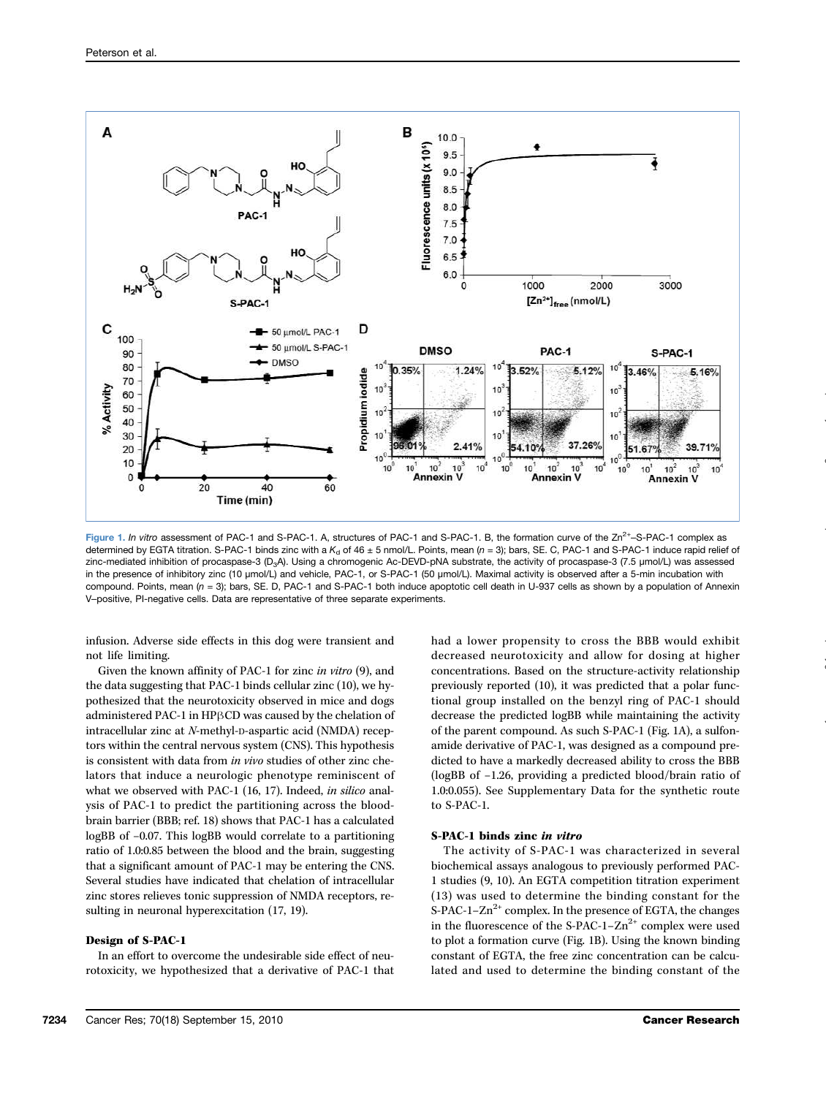

Figure 1. In vitro assessment of PAC-1 and S-PAC-1. A, structures of PAC-1 and S-PAC-1. B, the formation curve of the Zn<sup>2+</sup>–S-PAC-1 complex as determined by EGTA titration. S-PAC-1 binds zinc with a  $K_d$  of 46  $\pm$  5 nmol/L. Points, mean (n = 3); bars, SE. C, PAC-1 and S-PAC-1 induce rapid relief of zinc-mediated inhibition of procaspase-3 (D3A). Using a chromogenic Ac-DEVD-pNA substrate, the activity of procaspase-3 (7.5 μmol/L) was assessed in the presence of inhibitory zinc (10 μmol/L) and vehicle, PAC-1, or S-PAC-1 (50 μmol/L). Maximal activity is observed after a 5-min incubation with compound. Points, mean (n = 3); bars, SE. D, PAC-1 and S-PAC-1 both induce apoptotic cell death in U-937 cells as shown by a population of Annexin V–positive, PI-negative cells. Data are representative of three separate experiments.

infusion. Adverse side effects in this dog were transient and not life limiting.

Given the known affinity of PAC-1 for zinc in vitro (9), and the data suggesting that PAC-1 binds cellular zinc (10), we hypothesized that the neurotoxicity observed in mice and dogs administered PAC-1 in HPβCD was caused by the chelation of intracellular zinc at N-methyl-D-aspartic acid (NMDA) receptors within the central nervous system (CNS). This hypothesis is consistent with data from in vivo studies of other zinc chelators that induce a neurologic phenotype reminiscent of what we observed with PAC-1 (16, 17). Indeed, in silico analysis of PAC-1 to predict the partitioning across the bloodbrain barrier (BBB; ref. 18) shows that PAC-1 has a calculated logBB of −0.07. This logBB would correlate to a partitioning ratio of 1.0:0.85 between the blood and the brain, suggesting that a significant amount of PAC-1 may be entering the CNS. Several studies have indicated that chelation of intracellular zinc stores relieves tonic suppression of NMDA receptors, resulting in neuronal hyperexcitation (17, 19).

#### Design of S-PAC-1

In an effort to overcome the undesirable side effect of neurotoxicity, we hypothesized that a derivative of PAC-1 that had a lower propensity to cross the BBB would exhibit decreased neurotoxicity and allow for dosing at higher concentrations. Based on the structure-activity relationship previously reported (10), it was predicted that a polar functional group installed on the benzyl ring of PAC-1 should decrease the predicted logBB while maintaining the activity of the parent compound. As such S-PAC-1 (Fig. 1A), a sulfonamide derivative of PAC-1, was designed as a compound predicted to have a markedly decreased ability to cross the BBB (logBB of −1.26, providing a predicted blood/brain ratio of 1.0:0.055). See Supplementary Data for the synthetic route to S-PAC-1.

### S-PAC-1 binds zinc in vitro

The activity of S-PAC-1 was characterized in several biochemical assays analogous to previously performed PAC-1 studies (9, 10). An EGTA competition titration experiment (13) was used to determine the binding constant for the S-PAC-1– $Zn^{2+}$  complex. In the presence of EGTA, the changes in the fluorescence of the S-PAC-1– $Zn^{2+}$  complex were used to plot a formation curve (Fig. 1B). Using the known binding constant of EGTA, the free zinc concentration can be calculated and used to determine the binding constant of the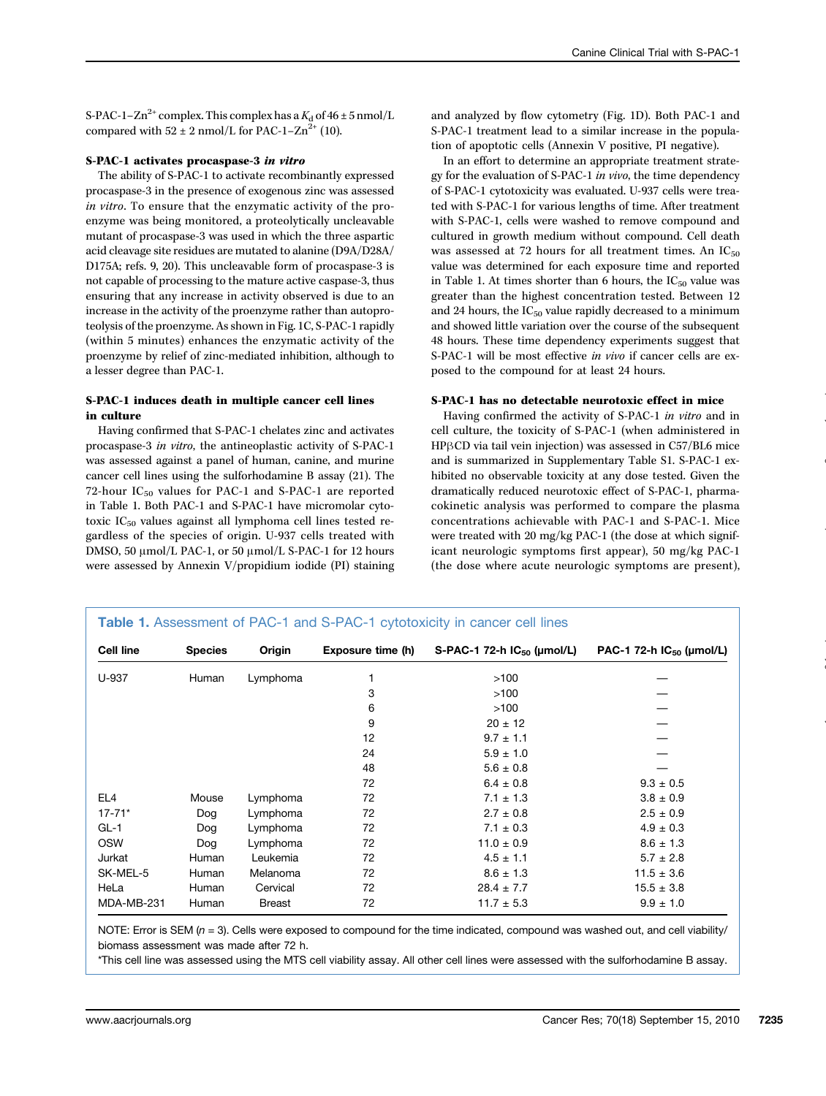S-PAC-1–Zn<sup>2+</sup> complex. This complex has a  $K_d$  of 46 ± 5 nmol/L compared with  $52 \pm 2$  nmol/L for PAC-1–Zn<sup>2+</sup> (10).

## S-PAC-1 activates procaspase-3 in vitro

The ability of S-PAC-1 to activate recombinantly expressed procaspase-3 in the presence of exogenous zinc was assessed in vitro. To ensure that the enzymatic activity of the proenzyme was being monitored, a proteolytically uncleavable mutant of procaspase-3 was used in which the three aspartic acid cleavage site residues are mutated to alanine (D9A/D28A/ D175A; refs. 9, 20). This uncleavable form of procaspase-3 is not capable of processing to the mature active caspase-3, thus ensuring that any increase in activity observed is due to an increase in the activity of the proenzyme rather than autoproteolysis of the proenzyme. As shown in Fig. 1C, S-PAC-1 rapidly (within 5 minutes) enhances the enzymatic activity of the proenzyme by relief of zinc-mediated inhibition, although to a lesser degree than PAC-1.

# S-PAC-1 induces death in multiple cancer cell lines in culture

Having confirmed that S-PAC-1 chelates zinc and activates procaspase-3 in vitro, the antineoplastic activity of S-PAC-1 was assessed against a panel of human, canine, and murine cancer cell lines using the sulforhodamine B assay (21). The 72-hour  $IC_{50}$  values for PAC-1 and S-PAC-1 are reported in Table 1. Both PAC-1 and S-PAC-1 have micromolar cytotoxic  $IC_{50}$  values against all lymphoma cell lines tested regardless of the species of origin. U-937 cells treated with DMSO, 50 μmol/L PAC-1, or 50 μmol/L S-PAC-1 for 12 hours were assessed by Annexin V/propidium iodide (PI) staining and analyzed by flow cytometry (Fig. 1D). Both PAC-1 and S-PAC-1 treatment lead to a similar increase in the population of apoptotic cells (Annexin V positive, PI negative).

In an effort to determine an appropriate treatment strategy for the evaluation of S-PAC-1 in vivo, the time dependency of S-PAC-1 cytotoxicity was evaluated. U-937 cells were treated with S-PAC-1 for various lengths of time. After treatment with S-PAC-1, cells were washed to remove compound and cultured in growth medium without compound. Cell death was assessed at 72 hours for all treatment times. An  $IC_{50}$ value was determined for each exposure time and reported in Table 1. At times shorter than 6 hours, the  $IC_{50}$  value was greater than the highest concentration tested. Between 12 and 24 hours, the  $IC_{50}$  value rapidly decreased to a minimum and showed little variation over the course of the subsequent 48 hours. These time dependency experiments suggest that S-PAC-1 will be most effective in vivo if cancer cells are exposed to the compound for at least 24 hours.

## S-PAC-1 has no detectable neurotoxic effect in mice

Having confirmed the activity of S-PAC-1 in vitro and in cell culture, the toxicity of S-PAC-1 (when administered in HPβCD via tail vein injection) was assessed in C57/BL6 mice and is summarized in Supplementary Table S1. S-PAC-1 exhibited no observable toxicity at any dose tested. Given the dramatically reduced neurotoxic effect of S-PAC-1, pharmacokinetic analysis was performed to compare the plasma concentrations achievable with PAC-1 and S-PAC-1. Mice were treated with 20 mg/kg PAC-1 (the dose at which significant neurologic symptoms first appear), 50 mg/kg PAC-1 (the dose where acute neurologic symptoms are present),

| <b>Cell line</b> | <b>Species</b> | Origin        | Exposure time (h) | S-PAC-1 72-h $IC_{50}$ (µmol/L) | PAC-1 72-h $IC_{50}$ (µmol/L) |
|------------------|----------------|---------------|-------------------|---------------------------------|-------------------------------|
| U-937            | Human          | Lymphoma      |                   | >100                            |                               |
|                  |                |               | 3                 | >100                            |                               |
|                  |                |               | 6                 | >100                            |                               |
|                  |                |               | 9                 | $20 \pm 12$                     |                               |
|                  |                |               | 12                | $9.7 \pm 1.1$                   |                               |
|                  |                |               | 24                | $5.9 \pm 1.0$                   |                               |
|                  |                |               | 48                | $5.6 \pm 0.8$                   |                               |
|                  |                |               | 72                | $6.4 \pm 0.8$                   | $9.3 \pm 0.5$                 |
| EL <sub>4</sub>  | Mouse          | Lymphoma      | 72                | $7.1 \pm 1.3$                   | $3.8 \pm 0.9$                 |
| $17 - 71*$       | Dog            | Lymphoma      | 72                | $2.7 \pm 0.8$                   | $2.5 \pm 0.9$                 |
| $GL-1$           | Dog            | Lymphoma      | 72                | $7.1 \pm 0.3$                   | $4.9 \pm 0.3$                 |
| <b>OSW</b>       | Dog            | Lymphoma      | 72                | $11.0 \pm 0.9$                  | $8.6 \pm 1.3$                 |
| Jurkat           | Human          | Leukemia      | 72                | $4.5 \pm 1.1$                   | $5.7 \pm 2.8$                 |
| SK-MEL-5         | Human          | Melanoma      | 72                | $8.6 \pm 1.3$                   | $11.5 \pm 3.6$                |
| HeLa             | Human          | Cervical      | 72                | $28.4 \pm 7.7$                  | $15.5 \pm 3.8$                |
| MDA-MB-231       | Human          | <b>Breast</b> | 72                | $11.7 \pm 5.3$                  | $9.9 \pm 1.0$                 |

NOTE: Error is SEM ( $n = 3$ ). Cells were exposed to compound for the time indicated, compound was washed out, and cell viability/ biomass assessment was made after 72 h.

\*This cell line was assessed using the MTS cell viability assay. All other cell lines were assessed with the sulforhodamine B assay.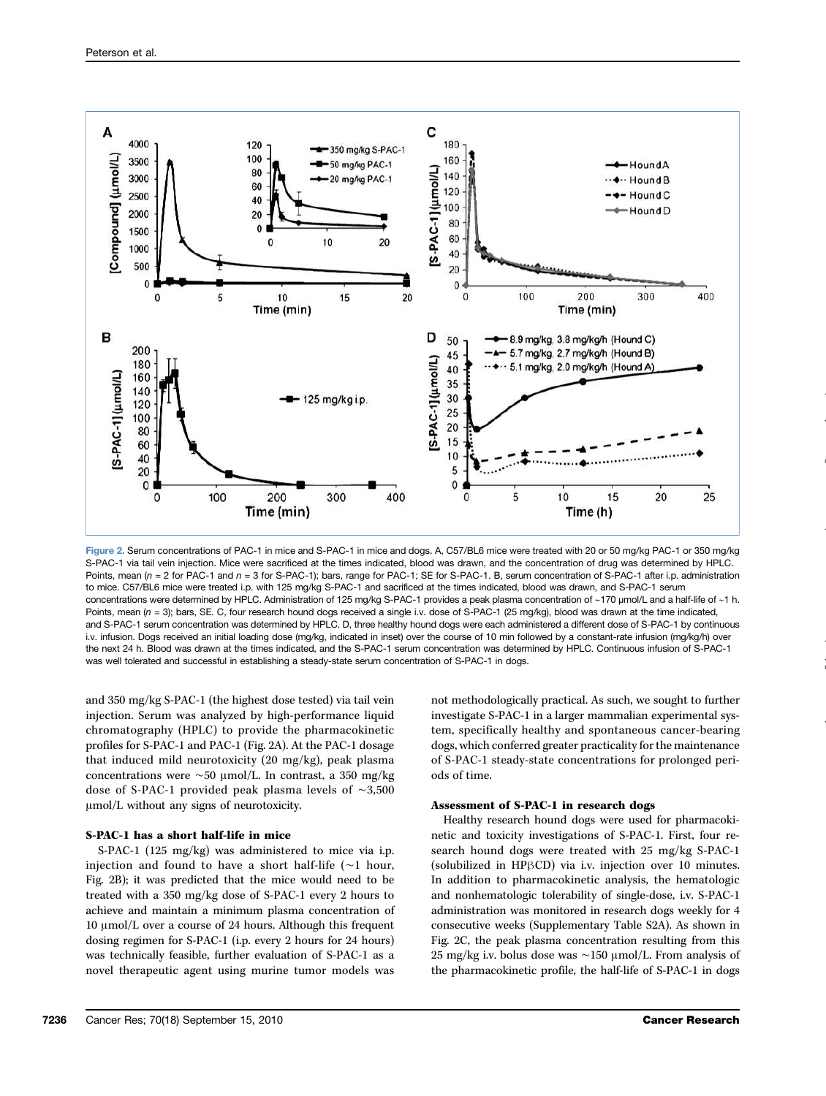

Figure 2. Serum concentrations of PAC-1 in mice and S-PAC-1 in mice and dogs. A, C57/BL6 mice were treated with 20 or 50 mg/kg PAC-1 or 350 mg/kg S-PAC-1 via tail vein injection. Mice were sacrificed at the times indicated, blood was drawn, and the concentration of drug was determined by HPLC. Points, mean  $(n = 2$  for PAC-1 and  $n = 3$  for S-PAC-1); bars, range for PAC-1; SE for S-PAC-1. B, serum concentration of S-PAC-1 after i.p. administration to mice. C57/BL6 mice were treated i.p. with 125 mg/kg S-PAC-1 and sacrificed at the times indicated, blood was drawn, and S-PAC-1 serum concentrations were determined by HPLC. Administration of 125 mg/kg S-PAC-1 provides a peak plasma concentration of ∼170 μmol/L and a half-life of ∼1 h. Points, mean  $(n = 3)$ ; bars, SE. C, four research hound dogs received a single i.v. dose of S-PAC-1 (25 mg/kg), blood was drawn at the time indicated, and S-PAC-1 serum concentration was determined by HPLC. D, three healthy hound dogs were each administered a different dose of S-PAC-1 by continuous i.v. infusion. Dogs received an initial loading dose (mg/kg, indicated in inset) over the course of 10 min followed by a constant-rate infusion (mg/kg/h) over the next 24 h. Blood was drawn at the times indicated, and the S-PAC-1 serum concentration was determined by HPLC. Continuous infusion of S-PAC-1 was well tolerated and successful in establishing a steady-state serum concentration of S-PAC-1 in dogs.

and 350 mg/kg S-PAC-1 (the highest dose tested) via tail vein injection. Serum was analyzed by high-performance liquid chromatography (HPLC) to provide the pharmacokinetic profiles for S-PAC-1 and PAC-1 (Fig. 2A). At the PAC-1 dosage that induced mild neurotoxicity (20 mg/kg), peak plasma concentrations were ∼50 μmol/L. In contrast, a 350 mg/kg dose of S-PAC-1 provided peak plasma levels of ∼3,500 μmol/L without any signs of neurotoxicity.

#### S-PAC-1 has a short half-life in mice

S-PAC-1 (125 mg/kg) was administered to mice via i.p. injection and found to have a short half-life (∼1 hour, Fig. 2B); it was predicted that the mice would need to be treated with a 350 mg/kg dose of S-PAC-1 every 2 hours to achieve and maintain a minimum plasma concentration of 10 μmol/L over a course of 24 hours. Although this frequent dosing regimen for S-PAC-1 (i.p. every 2 hours for 24 hours) was technically feasible, further evaluation of S-PAC-1 as a novel therapeutic agent using murine tumor models was not methodologically practical. As such, we sought to further investigate S-PAC-1 in a larger mammalian experimental system, specifically healthy and spontaneous cancer-bearing dogs, which conferred greater practicality for the maintenance of S-PAC-1 steady-state concentrations for prolonged periods of time.

## Assessment of S-PAC-1 in research dogs

Healthy research hound dogs were used for pharmacokinetic and toxicity investigations of S-PAC-1. First, four research hound dogs were treated with 25 mg/kg S-PAC-1 (solubilized in HPβCD) via i.v. injection over 10 minutes. In addition to pharmacokinetic analysis, the hematologic and nonhematologic tolerability of single-dose, i.v. S-PAC-1 administration was monitored in research dogs weekly for 4 consecutive weeks (Supplementary Table S2A). As shown in Fig. 2C, the peak plasma concentration resulting from this 25 mg/kg i.v. bolus dose was ∼150 μmol/L. From analysis of the pharmacokinetic profile, the half-life of S-PAC-1 in dogs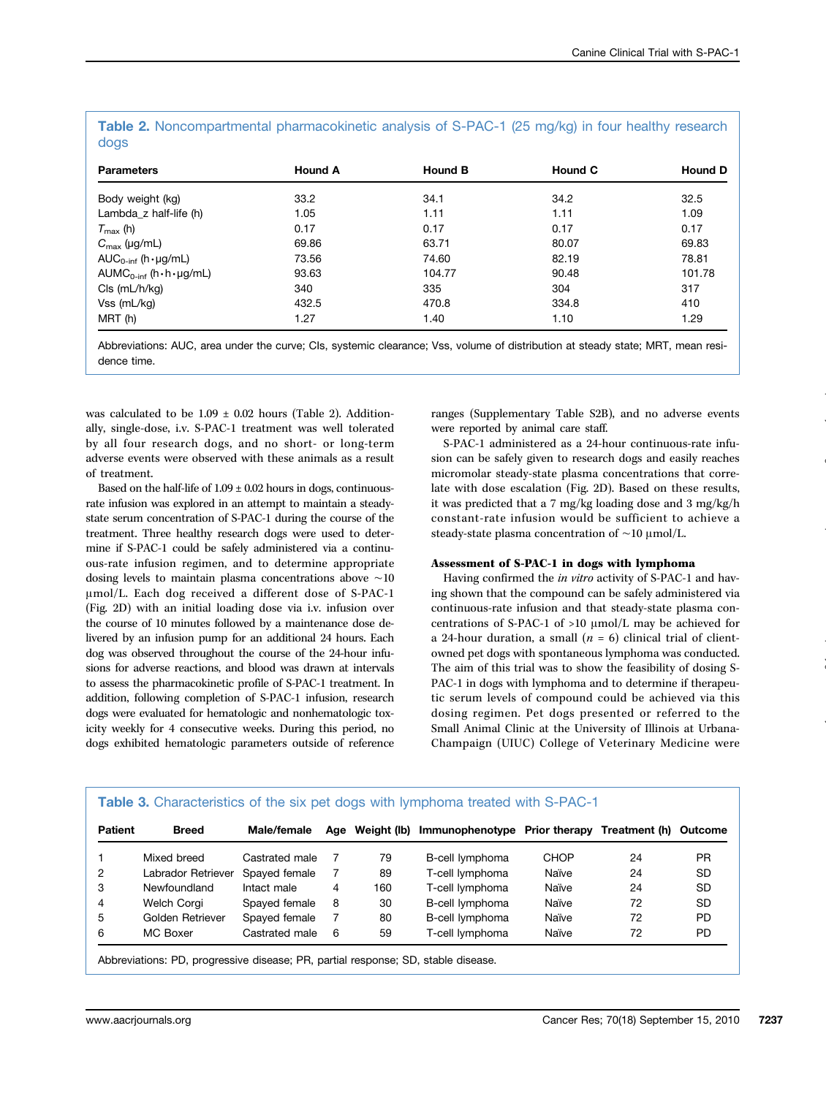| <b>Parameters</b>                      | <b>Hound A</b> | <b>Hound B</b> | <b>Hound C</b> | <b>Hound D</b> |
|----------------------------------------|----------------|----------------|----------------|----------------|
| Body weight (kg)                       | 33.2           | 34.1           | 34.2           | 32.5           |
| Lambda_z half-life (h)                 | 1.05           | 1.11           | 1.11           | 1.09           |
| $T_{\text{max}}$ (h)                   | 0.17           | 0.17           | 0.17           | 0.17           |
| $C_{\text{max}}$ (µg/mL)               | 69.86          | 63.71          | 80.07          | 69.83          |
| $AUC_{0\text{-inf}}$ (h · $\mu$ g/mL)  | 73.56          | 74.60          | 82.19          | 78.81          |
| $AUMC0-int (h \cdot h \cdot \mu g/mL)$ | 93.63          | 104.77         | 90.48          | 101.78         |
| $Cls$ (mL/h/kg)                        | 340            | 335            | 304            | 317            |
| $Vss$ (mL/kg)                          | 432.5          | 470.8          | 334.8          | 410            |
| MRT (h)                                | 1.27           | 1.40           | 1.10           | 1.29           |

Table 2. Noncompartmental pharmacokinetic analysis of S-PAC-1 (25 mg/kg) in four healthy research dogs

Abbreviations: AUC, area under the curve; CIs, systemic clearance; Vss, volume of distribution at steady state; MRT, mean residence time.

was calculated to be  $1.09 \pm 0.02$  hours (Table 2). Additionally, single-dose, i.v. S-PAC-1 treatment was well tolerated by all four research dogs, and no short- or long-term adverse events were observed with these animals as a result of treatment.

Based on the half-life of  $1.09 \pm 0.02$  hours in dogs, continuousrate infusion was explored in an attempt to maintain a steadystate serum concentration of S-PAC-1 during the course of the treatment. Three healthy research dogs were used to determine if S-PAC-1 could be safely administered via a continuous-rate infusion regimen, and to determine appropriate dosing levels to maintain plasma concentrations above ∼10 μmol/L. Each dog received a different dose of S-PAC-1 (Fig. 2D) with an initial loading dose via i.v. infusion over the course of 10 minutes followed by a maintenance dose delivered by an infusion pump for an additional 24 hours. Each dog was observed throughout the course of the 24-hour infusions for adverse reactions, and blood was drawn at intervals to assess the pharmacokinetic profile of S-PAC-1 treatment. In addition, following completion of S-PAC-1 infusion, research dogs were evaluated for hematologic and nonhematologic toxicity weekly for 4 consecutive weeks. During this period, no dogs exhibited hematologic parameters outside of reference

ranges (Supplementary Table S2B), and no adverse events were reported by animal care staff.

S-PAC-1 administered as a 24-hour continuous-rate infusion can be safely given to research dogs and easily reaches micromolar steady-state plasma concentrations that correlate with dose escalation (Fig. 2D). Based on these results, it was predicted that a 7 mg/kg loading dose and 3 mg/kg/h constant-rate infusion would be sufficient to achieve a steady-state plasma concentration of ∼10 μmol/L.

#### Assessment of S-PAC-1 in dogs with lymphoma

Having confirmed the in vitro activity of S-PAC-1 and having shown that the compound can be safely administered via continuous-rate infusion and that steady-state plasma concentrations of S-PAC-1 of >10 μmol/L may be achieved for a 24-hour duration, a small  $(n = 6)$  clinical trial of clientowned pet dogs with spontaneous lymphoma was conducted. The aim of this trial was to show the feasibility of dosing S-PAC-1 in dogs with lymphoma and to determine if therapeutic serum levels of compound could be achieved via this dosing regimen. Pet dogs presented or referred to the Small Animal Clinic at the University of Illinois at Urbana-Champaign (UIUC) College of Veterinary Medicine were

| <b>Patient</b> | <b>Breed</b>       | Male/female    | Age | Weight (lb) | Immunophenotype Prior therapy |             | Treatment (h) Outcome |           |
|----------------|--------------------|----------------|-----|-------------|-------------------------------|-------------|-----------------------|-----------|
|                | Mixed breed        | Castrated male |     | 79          | B-cell lymphoma               | <b>CHOP</b> | 24                    | <b>PR</b> |
| 2              | Labrador Retriever | Spayed female  |     | 89          | T-cell lymphoma               | Naïve       | 24                    | <b>SD</b> |
| 3              | Newfoundland       | Intact male    | 4   | 160         | T-cell lymphoma               | Naïve       | 24                    | <b>SD</b> |
| 4              | Welch Corgi        | Spayed female  | 8   | 30          | B-cell lymphoma               | Naïve       | 72                    | <b>SD</b> |
| 5              | Golden Retriever   | Spayed female  |     | 80          | B-cell lymphoma               | Naïve       | 72                    | <b>PD</b> |
| 6              | MC Boxer           | Castrated male | 6   | 59          | T-cell lymphoma               | Naïve       | 72                    | <b>PD</b> |

Abbreviations: PD, progressive disease; PR, partial response; SD, stable disease.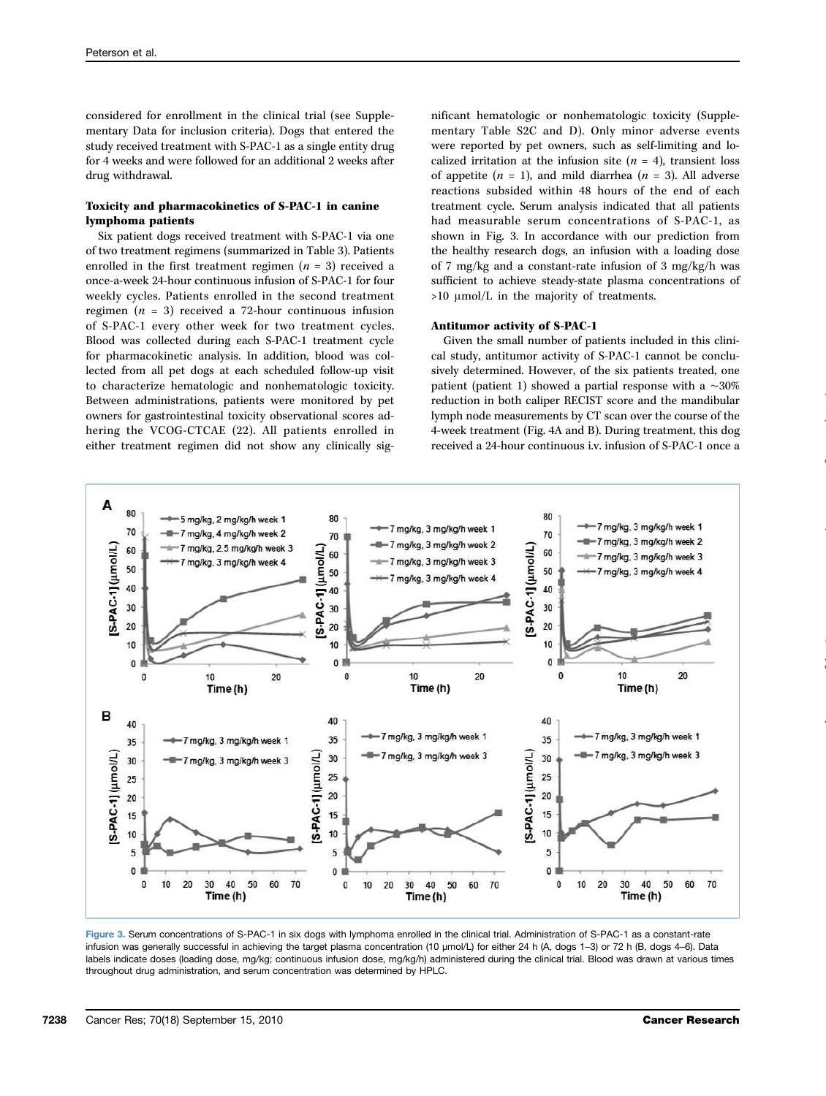considered for enrollment in the clinical trial (see Supplementary Data for inclusion criteria). Dogs that entered the study received treatment with S-PAC-1 as a single entity drug for 4 weeks and were followed for an additional 2 weeks after drug withdrawal.

# Toxicity and pharmacokinetics of S-PAC-1 in canine lymphoma patients

Six patient dogs received treatment with S-PAC-1 via one of two treatment regimens (summarized in Table 3). Patients enrolled in the first treatment regimen  $(n = 3)$  received a once-a-week 24-hour continuous infusion of S-PAC-1 for four weekly cycles. Patients enrolled in the second treatment regimen ( $n = 3$ ) received a 72-hour continuous infusion of S-PAC-1 every other week for two treatment cycles. Blood was collected during each S-PAC-1 treatment cycle for pharmacokinetic analysis. In addition, blood was collected from all pet dogs at each scheduled follow-up visit to characterize hematologic and nonhematologic toxicity. Between administrations, patients were monitored by pet owners for gastrointestinal toxicity observational scores adhering the VCOG-CTCAE (22). All patients enrolled in either treatment regimen did not show any clinically sig-

nificant hematologic or nonhematologic toxicity (Supplementary Table S2C and D). Only minor adverse events were reported by pet owners, such as self-limiting and localized irritation at the infusion site  $(n = 4)$ , transient loss of appetite  $(n = 1)$ , and mild diarrhea  $(n = 3)$ . All adverse reactions subsided within 48 hours of the end of each treatment cycle. Serum analysis indicated that all patients had measurable serum concentrations of S-PAC-1, as shown in Fig. 3. In accordance with our prediction from the healthy research dogs, an infusion with a loading dose of 7 mg/kg and a constant-rate infusion of 3 mg/kg/h was sufficient to achieve steady-state plasma concentrations of >10 μmol/L in the majority of treatments.

## Antitumor activity of S-PAC-1

Given the small number of patients included in this clinical study, antitumor activity of S-PAC-1 cannot be conclusively determined. However, of the six patients treated, one patient (patient 1) showed a partial response with a ∼30% reduction in both caliper RECIST score and the mandibular lymph node measurements by CT scan over the course of the 4-week treatment (Fig. 4A and B). During treatment, this dog received a 24-hour continuous i.v. infusion of S-PAC-1 once a



Figure 3. Serum concentrations of S-PAC-1 in six dogs with lymphoma enrolled in the clinical trial. Administration of S-PAC-1 as a constant-rate infusion was generally successful in achieving the target plasma concentration (10 μmol/L) for either 24 h (A, dogs 1–3) or 72 h (B, dogs 4–6). Data labels indicate doses (loading dose, mg/kg; continuous infusion dose, mg/kg/h) administered during the clinical trial. Blood was drawn at various times throughout drug administration, and serum concentration was determined by HPLC.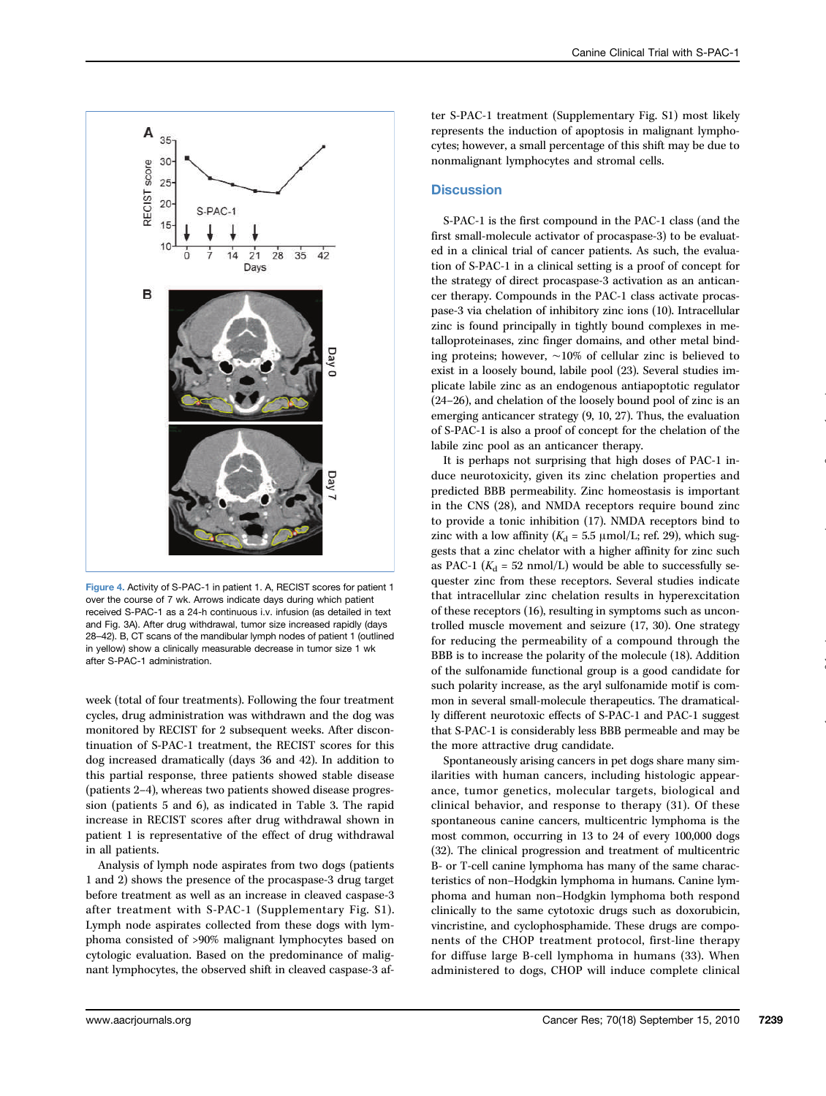

Figure 4. Activity of S-PAC-1 in patient 1. A, RECIST scores for patient 1 over the course of 7 wk. Arrows indicate days during which patient received S-PAC-1 as a 24-h continuous i.v. infusion (as detailed in text and Fig. 3A). After drug withdrawal, tumor size increased rapidly (days 28–42). B, CT scans of the mandibular lymph nodes of patient 1 (outlined in yellow) show a clinically measurable decrease in tumor size 1 wk after S-PAC-1 administration.

week (total of four treatments). Following the four treatment cycles, drug administration was withdrawn and the dog was monitored by RECIST for 2 subsequent weeks. After discontinuation of S-PAC-1 treatment, the RECIST scores for this dog increased dramatically (days 36 and 42). In addition to this partial response, three patients showed stable disease (patients 2–4), whereas two patients showed disease progression (patients 5 and 6), as indicated in Table 3. The rapid increase in RECIST scores after drug withdrawal shown in patient 1 is representative of the effect of drug withdrawal in all patients.

Analysis of lymph node aspirates from two dogs (patients 1 and 2) shows the presence of the procaspase-3 drug target before treatment as well as an increase in cleaved caspase-3 after treatment with S-PAC-1 (Supplementary Fig. S1). Lymph node aspirates collected from these dogs with lymphoma consisted of >90% malignant lymphocytes based on cytologic evaluation. Based on the predominance of malignant lymphocytes, the observed shift in cleaved caspase-3 af-

ter S-PAC-1 treatment (Supplementary Fig. S1) most likely represents the induction of apoptosis in malignant lymphocytes; however, a small percentage of this shift may be due to nonmalignant lymphocytes and stromal cells.

# **Discussion**

S-PAC-1 is the first compound in the PAC-1 class (and the first small-molecule activator of procaspase-3) to be evaluated in a clinical trial of cancer patients. As such, the evaluation of S-PAC-1 in a clinical setting is a proof of concept for the strategy of direct procaspase-3 activation as an anticancer therapy. Compounds in the PAC-1 class activate procaspase-3 via chelation of inhibitory zinc ions (10). Intracellular zinc is found principally in tightly bound complexes in metalloproteinases, zinc finger domains, and other metal binding proteins; however, ∼10% of cellular zinc is believed to exist in a loosely bound, labile pool (23). Several studies implicate labile zinc as an endogenous antiapoptotic regulator (24–26), and chelation of the loosely bound pool of zinc is an emerging anticancer strategy (9, 10, 27). Thus, the evaluation of S-PAC-1 is also a proof of concept for the chelation of the labile zinc pool as an anticancer therapy.

It is perhaps not surprising that high doses of PAC-1 induce neurotoxicity, given its zinc chelation properties and predicted BBB permeability. Zinc homeostasis is important in the CNS (28), and NMDA receptors require bound zinc to provide a tonic inhibition (17). NMDA receptors bind to zinc with a low affinity ( $K_d = 5.5 \text{ }\mu\text{mol/L}$ ; ref. 29), which suggests that a zinc chelator with a higher affinity for zinc such as PAC-1 ( $K_d$  = 52 nmol/L) would be able to successfully sequester zinc from these receptors. Several studies indicate that intracellular zinc chelation results in hyperexcitation of these receptors (16), resulting in symptoms such as uncontrolled muscle movement and seizure (17, 30). One strategy for reducing the permeability of a compound through the BBB is to increase the polarity of the molecule (18). Addition of the sulfonamide functional group is a good candidate for such polarity increase, as the aryl sulfonamide motif is common in several small-molecule therapeutics. The dramatically different neurotoxic effects of S-PAC-1 and PAC-1 suggest that S-PAC-1 is considerably less BBB permeable and may be the more attractive drug candidate.

Spontaneously arising cancers in pet dogs share many similarities with human cancers, including histologic appearance, tumor genetics, molecular targets, biological and clinical behavior, and response to therapy (31). Of these spontaneous canine cancers, multicentric lymphoma is the most common, occurring in 13 to 24 of every 100,000 dogs (32). The clinical progression and treatment of multicentric B- or T-cell canine lymphoma has many of the same characteristics of non–Hodgkin lymphoma in humans. Canine lymphoma and human non–Hodgkin lymphoma both respond clinically to the same cytotoxic drugs such as doxorubicin, vincristine, and cyclophosphamide. These drugs are components of the CHOP treatment protocol, first-line therapy for diffuse large B-cell lymphoma in humans (33). When administered to dogs, CHOP will induce complete clinical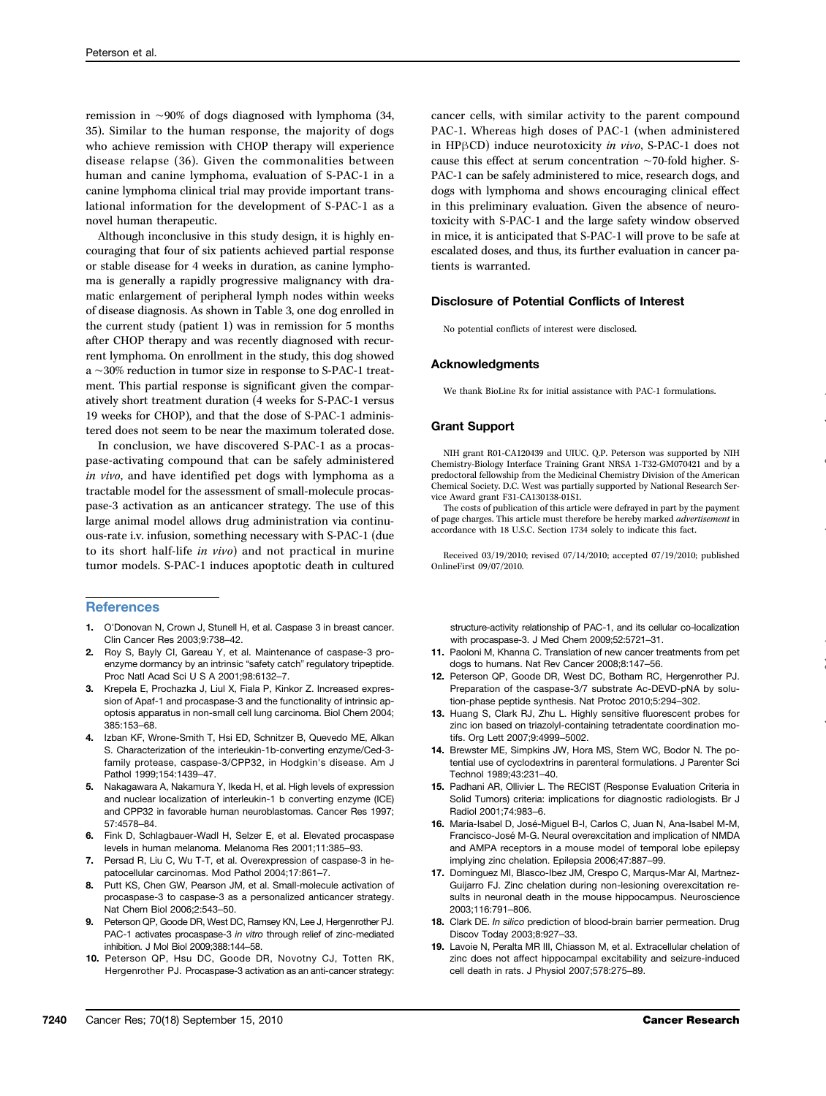remission in ∼90% of dogs diagnosed with lymphoma (34, 35). Similar to the human response, the majority of dogs who achieve remission with CHOP therapy will experience disease relapse (36). Given the commonalities between human and canine lymphoma, evaluation of S-PAC-1 in a canine lymphoma clinical trial may provide important translational information for the development of S-PAC-1 as a novel human therapeutic.

Although inconclusive in this study design, it is highly encouraging that four of six patients achieved partial response or stable disease for 4 weeks in duration, as canine lymphoma is generally a rapidly progressive malignancy with dramatic enlargement of peripheral lymph nodes within weeks of disease diagnosis. As shown in Table 3, one dog enrolled in the current study (patient 1) was in remission for 5 months after CHOP therapy and was recently diagnosed with recurrent lymphoma. On enrollment in the study, this dog showed a ∼30% reduction in tumor size in response to S-PAC-1 treatment. This partial response is significant given the comparatively short treatment duration (4 weeks for S-PAC-1 versus 19 weeks for CHOP), and that the dose of S-PAC-1 administered does not seem to be near the maximum tolerated dose.

In conclusion, we have discovered S-PAC-1 as a procaspase-activating compound that can be safely administered in vivo, and have identified pet dogs with lymphoma as a tractable model for the assessment of small-molecule procaspase-3 activation as an anticancer strategy. The use of this large animal model allows drug administration via continuous-rate i.v. infusion, something necessary with S-PAC-1 (due to its short half-life in vivo) and not practical in murine tumor models. S-PAC-1 induces apoptotic death in cultured

## **References**

- 1. O'Donovan N, Crown J, Stunell H, et al. Caspase 3 in breast cancer. Clin Cancer Res 2003;9:738–42.
- 2. Roy S, Bayly CI, Gareau Y, et al. Maintenance of caspase-3 proenzyme dormancy by an intrinsic "safety catch" regulatory tripeptide. Proc Natl Acad Sci U S A 2001;98:6132–7.
- 3. Krepela E, Prochazka J, Liul X, Fiala P, Kinkor Z. Increased expression of Apaf-1 and procaspase-3 and the functionality of intrinsic apoptosis apparatus in non-small cell lung carcinoma. Biol Chem 2004; 385:153–68.
- Izban KF, Wrone-Smith T, Hsi ED, Schnitzer B, Quevedo ME, Alkan S. Characterization of the interleukin-1b-converting enzyme/Ced-3 family protease, caspase-3/CPP32, in Hodgkin's disease. Am J Pathol 1999;154:1439–47.
- 5. Nakagawara A, Nakamura Y, Ikeda H, et al. High levels of expression and nuclear localization of interleukin-1 b converting enzyme (ICE) and CPP32 in favorable human neuroblastomas. Cancer Res 1997; 57:4578–84.
- 6. Fink D, Schlagbauer-Wadl H, Selzer E, et al. Elevated procaspase levels in human melanoma. Melanoma Res 2001;11:385–93.
- 7. Persad R, Liu C, Wu T-T, et al. Overexpression of caspase-3 in hepatocellular carcinomas. Mod Pathol 2004;17:861–7.
- 8. Putt KS, Chen GW, Pearson JM, et al. Small-molecule activation of procaspase-3 to caspase-3 as a personalized anticancer strategy. Nat Chem Biol 2006;2:543–50.
- 9. Peterson QP, Goode DR, West DC, Ramsey KN, Lee J, Hergenrother PJ. PAC-1 activates procaspase-3 in vitro through relief of zinc-mediated inhibition. J Mol Biol 2009;388:144–58.
- 10. Peterson QP, Hsu DC, Goode DR, Novotny CJ, Totten RK, Hergenrother PJ. Procaspase-3 activation as an anti-cancer strategy:

cancer cells, with similar activity to the parent compound PAC-1. Whereas high doses of PAC-1 (when administered in HPβCD) induce neurotoxicity in vivo, S-PAC-1 does not cause this effect at serum concentration ∼70-fold higher. S-PAC-1 can be safely administered to mice, research dogs, and dogs with lymphoma and shows encouraging clinical effect in this preliminary evaluation. Given the absence of neurotoxicity with S-PAC-1 and the large safety window observed in mice, it is anticipated that S-PAC-1 will prove to be safe at escalated doses, and thus, its further evaluation in cancer patients is warranted.

#### Disclosure of Potential Conflicts of Interest

No potential conflicts of interest were disclosed.

#### Acknowledgments

We thank BioLine Rx for initial assistance with PAC-1 formulations.

#### Grant Support

NIH grant R01-CA120439 and UIUC. Q.P. Peterson was supported by NIH Chemistry-Biology Interface Training Grant NRSA 1-T32-GM070421 and by a predoctoral fellowship from the Medicinal Chemistry Division of the American Chemical Society. D.C. West was partially supported by National Research Service Award grant F31-CA130138-01S1.

The costs of publication of this article were defrayed in part by the payment of page charges. This article must therefore be hereby marked advertisement in accordance with 18 U.S.C. Section 1734 solely to indicate this fact.

Received 03/19/2010; revised 07/14/2010; accepted 07/19/2010; published OnlineFirst 09/07/2010.

structure-activity relationship of PAC-1, and its cellular co-localization with procaspase-3. J Med Chem 2009;52:5721–31.

- 11. Paoloni M, Khanna C. Translation of new cancer treatments from pet dogs to humans. Nat Rev Cancer 2008;8:147–56.
- 12. Peterson QP, Goode DR, West DC, Botham RC, Hergenrother PJ. Preparation of the caspase-3/7 substrate Ac-DEVD-pNA by solution-phase peptide synthesis. Nat Protoc 2010;5:294–302.
- 13. Huang S, Clark RJ, Zhu L. Highly sensitive fluorescent probes for zinc ion based on triazolyl-containing tetradentate coordination motifs. Org Lett 2007;9:4999–5002.
- 14. Brewster ME, Simpkins JW, Hora MS, Stern WC, Bodor N. The potential use of cyclodextrins in parenteral formulations. J Parenter Sci Technol 1989;43:231–40.
- 15. Padhani AR, Ollivier L. The RECIST (Response Evaluation Criteria in Solid Tumors) criteria: implications for diagnostic radiologists. Br J Radiol 2001;74:983–6.
- 16. María-Isabel D, José-Miguel B-I, Carlos C, Juan N, Ana-Isabel M-M, Francisco-José M-G. Neural overexcitation and implication of NMDA and AMPA receptors in a mouse model of temporal lobe epilepsy implying zinc chelation. Epilepsia 2006;47:887–99.
- 17. Domínguez MI, Blasco-Ibez JM, Crespo C, Marqus-Mar AI, Martnez-Guijarro FJ. Zinc chelation during non-lesioning overexcitation results in neuronal death in the mouse hippocampus. Neuroscience 2003;116:791–806.
- 18. Clark DE. In silico prediction of blood-brain barrier permeation. Drug Discov Today 2003;8:927–33.
- 19. Lavoie N, Peralta MR III, Chiasson M, et al. Extracellular chelation of zinc does not affect hippocampal excitability and seizure-induced cell death in rats. J Physiol 2007;578:275–89.